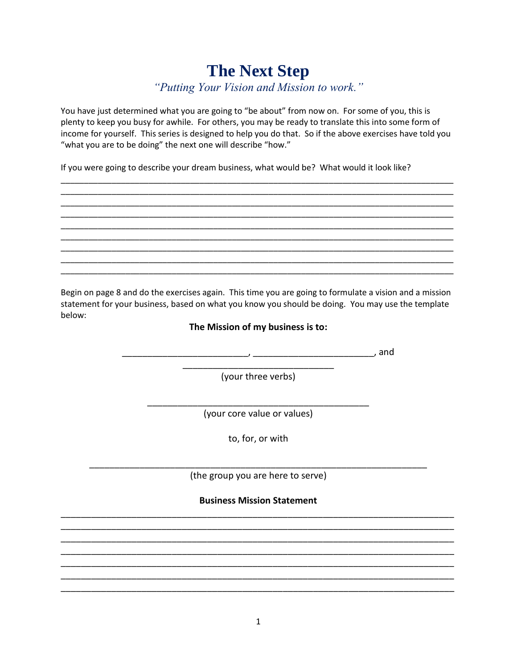## **The Next Step** *"Putting Your Vision and Mission to work."*

You have just determined what you are going to "be about" from now on. For some of you, this is plenty to keep you busy for awhile. For others, you may be ready to translate this into some form of income for yourself. This series is designed to help you do that. So if the above exercises have told you "what you are to be doing" the next one will describe "how."

\_\_\_\_\_\_\_\_\_\_\_\_\_\_\_\_\_\_\_\_\_\_\_\_\_\_\_\_\_\_\_\_\_\_\_\_\_\_\_\_\_\_\_\_\_\_\_\_\_\_\_\_\_\_\_\_\_\_\_\_\_\_\_\_\_\_\_\_\_\_\_\_\_\_\_\_\_\_\_\_\_\_\_\_\_

If you were going to describe your dream business, what would be? What would it look like?



Begin on page 8 and do the exercises again. This time you are going to formulate a vision and a mission statement for your business, based on what you know you should be doing. You may use the template below:

## **The Mission of my business is to:**

\_\_\_\_\_\_\_\_\_\_\_\_\_\_\_\_\_\_\_\_\_\_\_\_\_, \_\_\_\_\_\_\_\_\_\_\_\_\_\_\_\_\_\_\_\_\_\_\_\_, and \_\_\_\_\_\_\_\_\_\_\_\_\_\_\_\_\_\_\_\_\_\_\_\_\_\_\_\_\_\_

(your three verbs)

\_\_\_\_\_\_\_\_\_\_\_\_\_\_\_\_\_\_\_\_\_\_\_\_\_\_\_\_\_\_\_\_\_\_\_\_\_\_\_\_\_\_\_\_ (your core value or values)

to, for, or with

\_\_\_\_\_\_\_\_\_\_\_\_\_\_\_\_\_\_\_\_\_\_\_\_\_\_\_\_\_\_\_\_\_\_\_\_\_\_\_\_\_\_\_\_\_\_\_\_\_\_\_\_\_\_\_\_\_\_\_\_\_\_\_\_\_\_\_ (the group you are here to serve)

**Business Mission Statement** \_\_\_\_\_\_\_\_\_\_\_\_\_\_\_\_\_\_\_\_\_\_\_\_\_\_\_\_\_\_\_\_\_\_\_\_\_\_\_\_\_\_\_\_\_\_\_\_\_\_\_\_\_\_\_\_\_\_\_\_\_\_\_\_\_\_\_\_\_\_\_\_\_\_\_\_\_\_

\_\_\_\_\_\_\_\_\_\_\_\_\_\_\_\_\_\_\_\_\_\_\_\_\_\_\_\_\_\_\_\_\_\_\_\_\_\_\_\_\_\_\_\_\_\_\_\_\_\_\_\_\_\_\_\_\_\_\_\_\_\_\_\_\_\_\_\_\_\_\_\_\_\_\_\_\_\_ \_\_\_\_\_\_\_\_\_\_\_\_\_\_\_\_\_\_\_\_\_\_\_\_\_\_\_\_\_\_\_\_\_\_\_\_\_\_\_\_\_\_\_\_\_\_\_\_\_\_\_\_\_\_\_\_\_\_\_\_\_\_\_\_\_\_\_\_\_\_\_\_\_\_\_\_\_\_ \_\_\_\_\_\_\_\_\_\_\_\_\_\_\_\_\_\_\_\_\_\_\_\_\_\_\_\_\_\_\_\_\_\_\_\_\_\_\_\_\_\_\_\_\_\_\_\_\_\_\_\_\_\_\_\_\_\_\_\_\_\_\_\_\_\_\_\_\_\_\_\_\_\_\_\_\_\_ \_\_\_\_\_\_\_\_\_\_\_\_\_\_\_\_\_\_\_\_\_\_\_\_\_\_\_\_\_\_\_\_\_\_\_\_\_\_\_\_\_\_\_\_\_\_\_\_\_\_\_\_\_\_\_\_\_\_\_\_\_\_\_\_\_\_\_\_\_\_\_\_\_\_\_\_\_\_ \_\_\_\_\_\_\_\_\_\_\_\_\_\_\_\_\_\_\_\_\_\_\_\_\_\_\_\_\_\_\_\_\_\_\_\_\_\_\_\_\_\_\_\_\_\_\_\_\_\_\_\_\_\_\_\_\_\_\_\_\_\_\_\_\_\_\_\_\_\_\_\_\_\_\_\_\_\_ \_\_\_\_\_\_\_\_\_\_\_\_\_\_\_\_\_\_\_\_\_\_\_\_\_\_\_\_\_\_\_\_\_\_\_\_\_\_\_\_\_\_\_\_\_\_\_\_\_\_\_\_\_\_\_\_\_\_\_\_\_\_\_\_\_\_\_\_\_\_\_\_\_\_\_\_\_\_